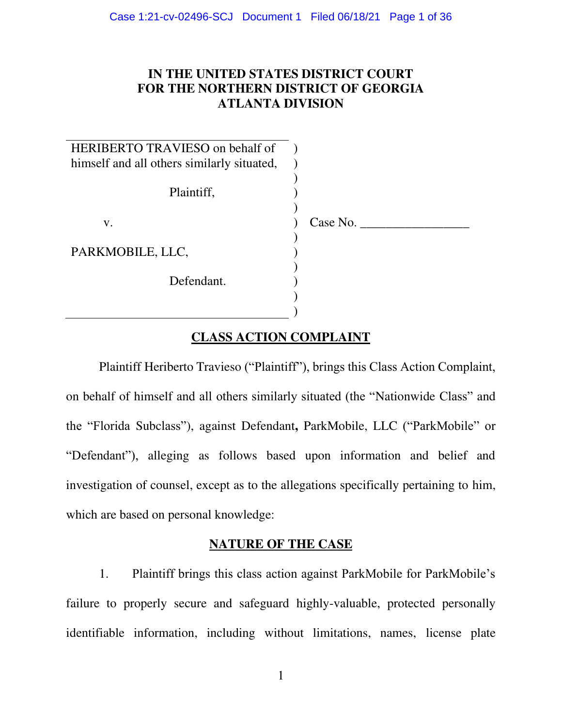# **IN THE UNITED STATES DISTRICT COURT FOR THE NORTHERN DISTRICT OF GEORGIA ATLANTA DIVISION**

| HERIBERTO TRAVIESO on behalf of            |          |
|--------------------------------------------|----------|
| himself and all others similarly situated, |          |
| Plaintiff,                                 |          |
| V.                                         | Case No. |
|                                            |          |
| PARKMOBILE, LLC,                           |          |
|                                            |          |
| Defendant.                                 |          |
|                                            |          |
|                                            |          |

# **CLASS ACTION COMPLAINT**

Plaintiff Heriberto Travieso ("Plaintiff"), brings this Class Action Complaint, on behalf of himself and all others similarly situated (the "Nationwide Class" and the "Florida Subclass"), against Defendant**,** ParkMobile, LLC ("ParkMobile" or "Defendant"), alleging as follows based upon information and belief and investigation of counsel, except as to the allegations specifically pertaining to him, which are based on personal knowledge:

# **NATURE OF THE CASE**

1. Plaintiff brings this class action against ParkMobile for ParkMobile's failure to properly secure and safeguard highly-valuable, protected personally identifiable information, including without limitations, names, license plate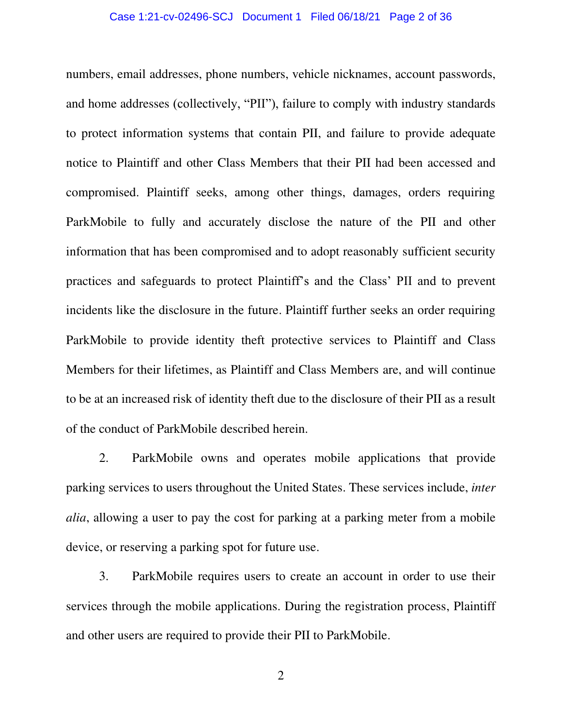## Case 1:21-cv-02496-SCJ Document 1 Filed 06/18/21 Page 2 of 36

numbers, email addresses, phone numbers, vehicle nicknames, account passwords, and home addresses (collectively, "PII"), failure to comply with industry standards to protect information systems that contain PII, and failure to provide adequate notice to Plaintiff and other Class Members that their PII had been accessed and compromised. Plaintiff seeks, among other things, damages, orders requiring ParkMobile to fully and accurately disclose the nature of the PII and other information that has been compromised and to adopt reasonably sufficient security practices and safeguards to protect Plaintiff's and the Class' PII and to prevent incidents like the disclosure in the future. Plaintiff further seeks an order requiring ParkMobile to provide identity theft protective services to Plaintiff and Class Members for their lifetimes, as Plaintiff and Class Members are, and will continue to be at an increased risk of identity theft due to the disclosure of their PII as a result of the conduct of ParkMobile described herein.

2. ParkMobile owns and operates mobile applications that provide parking services to users throughout the United States. These services include, *inter alia*, allowing a user to pay the cost for parking at a parking meter from a mobile device, or reserving a parking spot for future use.

3. ParkMobile requires users to create an account in order to use their services through the mobile applications. During the registration process, Plaintiff and other users are required to provide their PII to ParkMobile.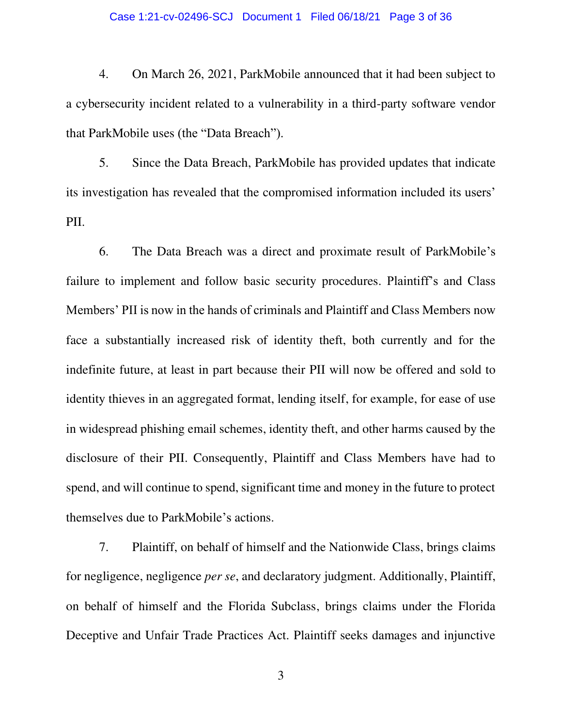#### Case 1:21-cv-02496-SCJ Document 1 Filed 06/18/21 Page 3 of 36

4. On March 26, 2021, ParkMobile announced that it had been subject to a cybersecurity incident related to a vulnerability in a third-party software vendor that ParkMobile uses (the "Data Breach").

5. Since the Data Breach, ParkMobile has provided updates that indicate its investigation has revealed that the compromised information included its users' PII.

6. The Data Breach was a direct and proximate result of ParkMobile's failure to implement and follow basic security procedures. Plaintiff's and Class Members' PII is now in the hands of criminals and Plaintiff and Class Members now face a substantially increased risk of identity theft, both currently and for the indefinite future, at least in part because their PII will now be offered and sold to identity thieves in an aggregated format, lending itself, for example, for ease of use in widespread phishing email schemes, identity theft, and other harms caused by the disclosure of their PII. Consequently, Plaintiff and Class Members have had to spend, and will continue to spend, significant time and money in the future to protect themselves due to ParkMobile's actions.

7. Plaintiff, on behalf of himself and the Nationwide Class, brings claims for negligence, negligence *per se*, and declaratory judgment. Additionally, Plaintiff, on behalf of himself and the Florida Subclass, brings claims under the Florida Deceptive and Unfair Trade Practices Act. Plaintiff seeks damages and injunctive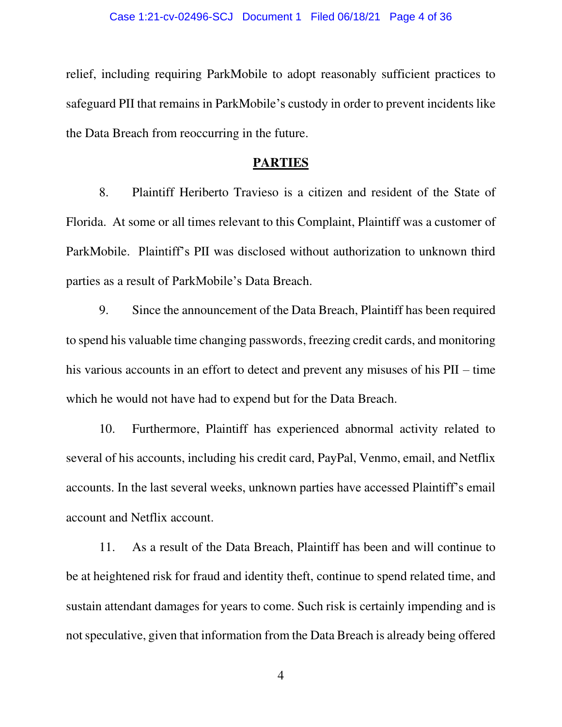relief, including requiring ParkMobile to adopt reasonably sufficient practices to safeguard PII that remains in ParkMobile's custody in order to prevent incidents like the Data Breach from reoccurring in the future.

### **PARTIES**

8. Plaintiff Heriberto Travieso is a citizen and resident of the State of Florida. At some or all times relevant to this Complaint, Plaintiff was a customer of ParkMobile. Plaintiff's PII was disclosed without authorization to unknown third parties as a result of ParkMobile's Data Breach.

9. Since the announcement of the Data Breach, Plaintiff has been required to spend his valuable time changing passwords, freezing credit cards, and monitoring his various accounts in an effort to detect and prevent any misuses of his PII – time which he would not have had to expend but for the Data Breach.

10. Furthermore, Plaintiff has experienced abnormal activity related to several of his accounts, including his credit card, PayPal, Venmo, email, and Netflix accounts. In the last several weeks, unknown parties have accessed Plaintiff's email account and Netflix account.

11. As a result of the Data Breach, Plaintiff has been and will continue to be at heightened risk for fraud and identity theft, continue to spend related time, and sustain attendant damages for years to come. Such risk is certainly impending and is not speculative, given that information from the Data Breach is already being offered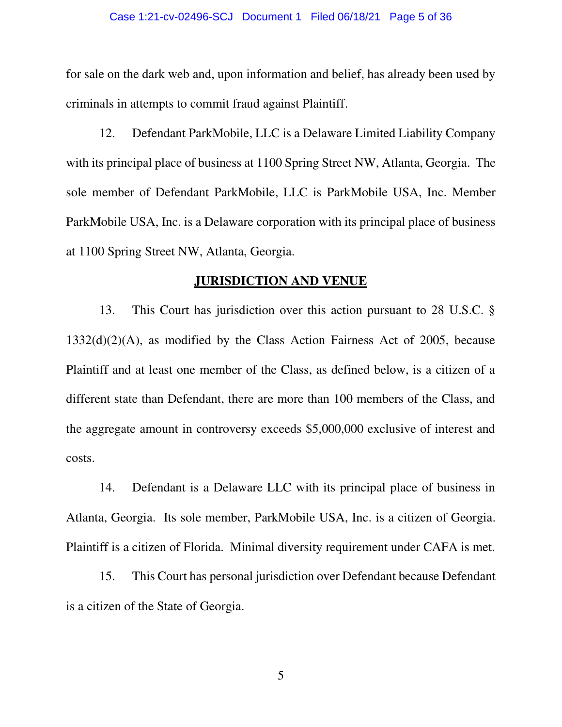#### Case 1:21-cv-02496-SCJ Document 1 Filed 06/18/21 Page 5 of 36

for sale on the dark web and, upon information and belief, has already been used by criminals in attempts to commit fraud against Plaintiff.

12. Defendant ParkMobile, LLC is a Delaware Limited Liability Company with its principal place of business at 1100 Spring Street NW, Atlanta, Georgia. The sole member of Defendant ParkMobile, LLC is ParkMobile USA, Inc. Member ParkMobile USA, Inc. is a Delaware corporation with its principal place of business at 1100 Spring Street NW, Atlanta, Georgia.

### **JURISDICTION AND VENUE**

13. This Court has jurisdiction over this action pursuant to 28 U.S.C. § 1332(d)(2)(A), as modified by the Class Action Fairness Act of 2005, because Plaintiff and at least one member of the Class, as defined below, is a citizen of a different state than Defendant, there are more than 100 members of the Class, and the aggregate amount in controversy exceeds \$5,000,000 exclusive of interest and costs.

14. Defendant is a Delaware LLC with its principal place of business in Atlanta, Georgia. Its sole member, ParkMobile USA, Inc. is a citizen of Georgia. Plaintiff is a citizen of Florida. Minimal diversity requirement under CAFA is met.

15. This Court has personal jurisdiction over Defendant because Defendant is a citizen of the State of Georgia.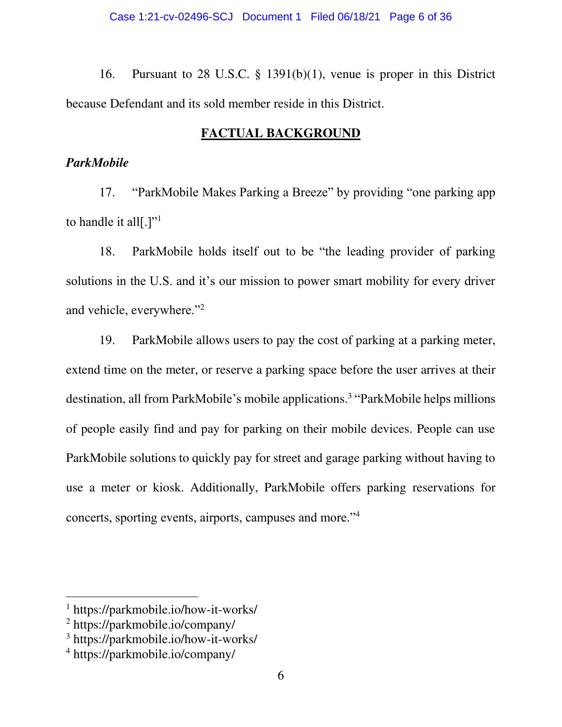16. Pursuant to 28 U.S.C. § 1391(b)(1), venue is proper in this District because Defendant and its sold member reside in this District.

# **FACTUAL BACKGROUND**

# *ParkMobile*

17. "ParkMobile Makes Parking a Breeze" by providing "one parking app to handle it all  $[.]$ <sup>"1</sup>

18. ParkMobile holds itself out to be "the leading provider of parking solutions in the U.S. and it's our mission to power smart mobility for every driver and vehicle, everywhere."<sup>2</sup>

19. ParkMobile allows users to pay the cost of parking at a parking meter, extend time on the meter, or reserve a parking space before the user arrives at their destination, all from ParkMobile's mobile applications.<sup>3</sup> "ParkMobile helps millions of people easily find and pay for parking on their mobile devices. People can use ParkMobile solutions to quickly pay for street and garage parking without having to use a meter or kiosk. Additionally, ParkMobile offers parking reservations for concerts, sporting events, airports, campuses and more."<sup>4</sup>

<sup>1</sup> https://parkmobile.io/how-it-works/

<sup>2</sup> https://parkmobile.io/company/

<sup>3</sup> https://parkmobile.io/how-it-works/

<sup>4</sup> https://parkmobile.io/company/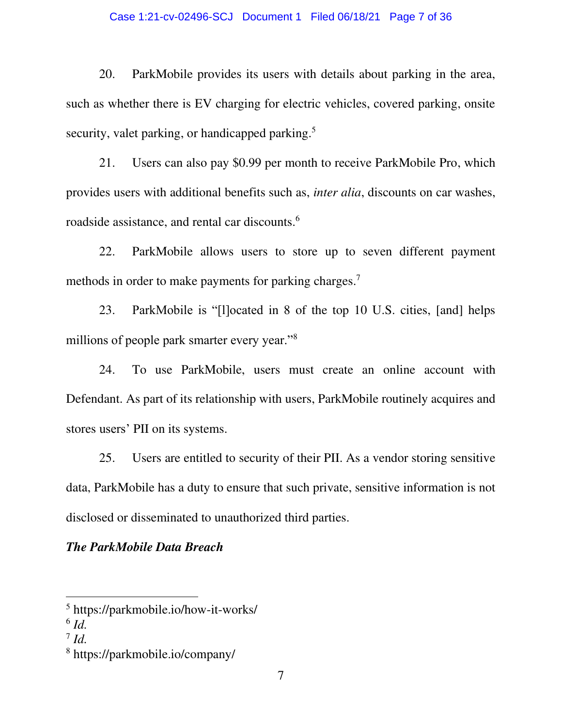## Case 1:21-cv-02496-SCJ Document 1 Filed 06/18/21 Page 7 of 36

20. ParkMobile provides its users with details about parking in the area, such as whether there is EV charging for electric vehicles, covered parking, onsite security, valet parking, or handicapped parking.<sup>5</sup>

21. Users can also pay \$0.99 per month to receive ParkMobile Pro, which provides users with additional benefits such as, *inter alia*, discounts on car washes, roadside assistance, and rental car discounts.<sup>6</sup>

22. ParkMobile allows users to store up to seven different payment methods in order to make payments for parking charges.<sup>7</sup>

23. ParkMobile is "[l]ocated in 8 of the top 10 U.S. cities, [and] helps millions of people park smarter every year."<sup>8</sup>

24. To use ParkMobile, users must create an online account with Defendant. As part of its relationship with users, ParkMobile routinely acquires and stores users' PII on its systems.

25. Users are entitled to security of their PII. As a vendor storing sensitive data, ParkMobile has a duty to ensure that such private, sensitive information is not disclosed or disseminated to unauthorized third parties.

# *The ParkMobile Data Breach*

<sup>5</sup> https://parkmobile.io/how-it-works/

<sup>6</sup> *Id.*

<sup>7</sup> *Id.*

<sup>8</sup> https://parkmobile.io/company/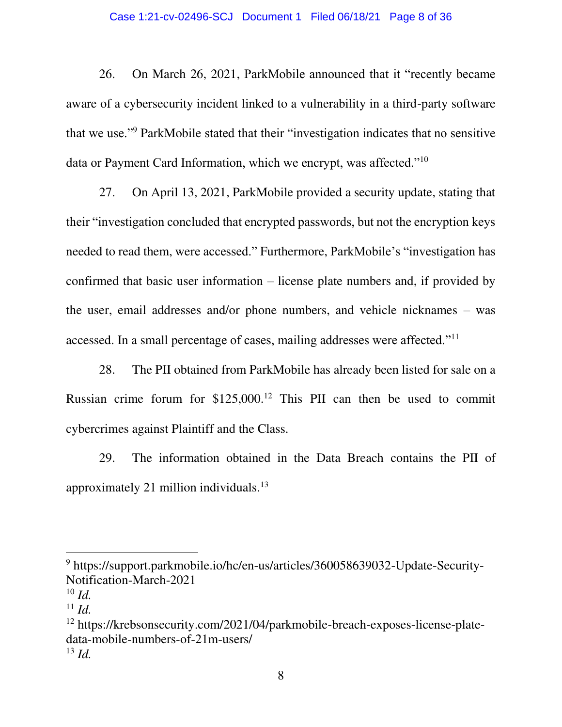## Case 1:21-cv-02496-SCJ Document 1 Filed 06/18/21 Page 8 of 36

26. On March 26, 2021, ParkMobile announced that it "recently became aware of a cybersecurity incident linked to a vulnerability in a third-party software that we use."<sup>9</sup> ParkMobile stated that their "investigation indicates that no sensitive data or Payment Card Information, which we encrypt, was affected."<sup>10</sup>

27. On April 13, 2021, ParkMobile provided a security update, stating that their "investigation concluded that encrypted passwords, but not the encryption keys needed to read them, were accessed." Furthermore, ParkMobile's "investigation has confirmed that basic user information – license plate numbers and, if provided by the user, email addresses and/or phone numbers, and vehicle nicknames – was accessed. In a small percentage of cases, mailing addresses were affected."<sup>11</sup>

28. The PII obtained from ParkMobile has already been listed for sale on a Russian crime forum for \$125,000.<sup>12</sup> This PII can then be used to commit cybercrimes against Plaintiff and the Class.

29. The information obtained in the Data Breach contains the PII of approximately 21 million individuals.<sup>13</sup>

<sup>&</sup>lt;sup>9</sup> https://support.parkmobile.io/hc/en-us/articles/360058639032-Update-Security-Notification-March-2021

 $10$  *Id.* 

 $11$  *Id.* 

<sup>12</sup> https://krebsonsecurity.com/2021/04/parkmobile-breach-exposes-license-platedata-mobile-numbers-of-21m-users/ <sup>13</sup> *Id.*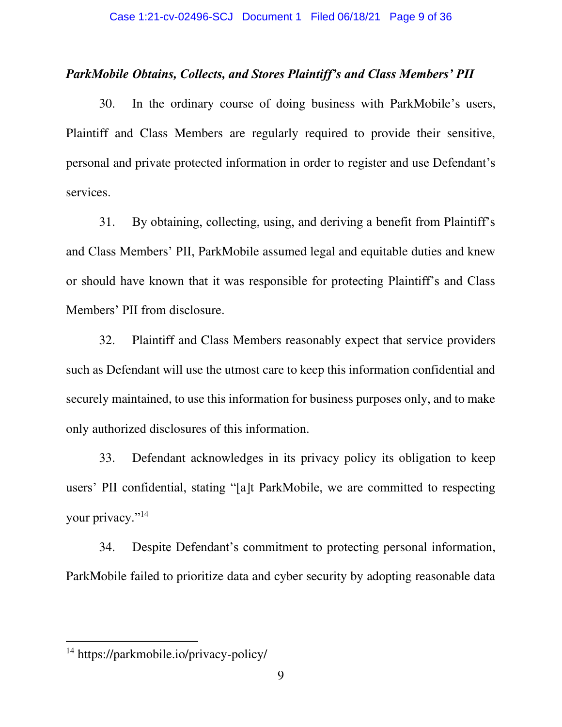# *ParkMobile Obtains, Collects, and Stores Plaintiff's and Class Members' PII*

30. In the ordinary course of doing business with ParkMobile's users, Plaintiff and Class Members are regularly required to provide their sensitive, personal and private protected information in order to register and use Defendant's services.

31. By obtaining, collecting, using, and deriving a benefit from Plaintiff's and Class Members' PII, ParkMobile assumed legal and equitable duties and knew or should have known that it was responsible for protecting Plaintiff's and Class Members' PII from disclosure.

32. Plaintiff and Class Members reasonably expect that service providers such as Defendant will use the utmost care to keep this information confidential and securely maintained, to use this information for business purposes only, and to make only authorized disclosures of this information.

33. Defendant acknowledges in its privacy policy its obligation to keep users' PII confidential, stating "[a]t ParkMobile, we are committed to respecting your privacy."<sup>14</sup>

34. Despite Defendant's commitment to protecting personal information, ParkMobile failed to prioritize data and cyber security by adopting reasonable data

<sup>14</sup> https://parkmobile.io/privacy-policy/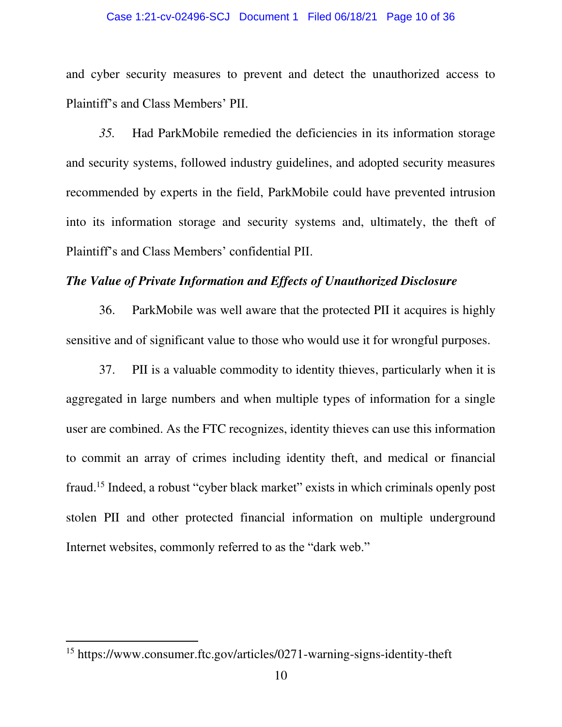#### Case 1:21-cv-02496-SCJ Document 1 Filed 06/18/21 Page 10 of 36

and cyber security measures to prevent and detect the unauthorized access to Plaintiff's and Class Members' PII.

*35.* Had ParkMobile remedied the deficiencies in its information storage and security systems, followed industry guidelines, and adopted security measures recommended by experts in the field, ParkMobile could have prevented intrusion into its information storage and security systems and, ultimately, the theft of Plaintiff's and Class Members' confidential PII.

# *The Value of Private Information and Effects of Unauthorized Disclosure*

36. ParkMobile was well aware that the protected PII it acquires is highly sensitive and of significant value to those who would use it for wrongful purposes.

37. PII is a valuable commodity to identity thieves, particularly when it is aggregated in large numbers and when multiple types of information for a single user are combined. As the FTC recognizes, identity thieves can use this information to commit an array of crimes including identity theft, and medical or financial fraud.<sup>15</sup> Indeed, a robust "cyber black market" exists in which criminals openly post stolen PII and other protected financial information on multiple underground Internet websites, commonly referred to as the "dark web."

<sup>15</sup> https://www.consumer.ftc.gov/articles/0271-warning-signs-identity-theft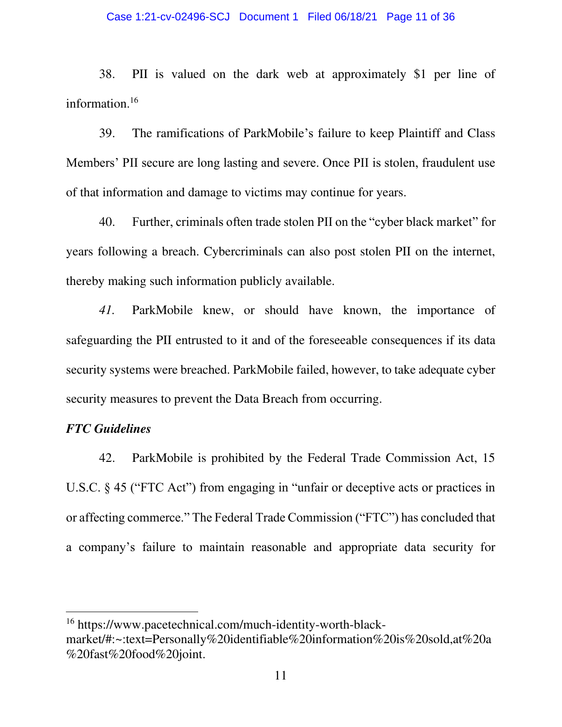#### Case 1:21-cv-02496-SCJ Document 1 Filed 06/18/21 Page 11 of 36

38. PII is valued on the dark web at approximately \$1 per line of information.<sup>16</sup>

39. The ramifications of ParkMobile's failure to keep Plaintiff and Class Members' PII secure are long lasting and severe. Once PII is stolen, fraudulent use of that information and damage to victims may continue for years.

40. Further, criminals often trade stolen PII on the "cyber black market" for years following a breach. Cybercriminals can also post stolen PII on the internet, thereby making such information publicly available.

*41.* ParkMobile knew, or should have known, the importance of safeguarding the PII entrusted to it and of the foreseeable consequences if its data security systems were breached. ParkMobile failed, however, to take adequate cyber security measures to prevent the Data Breach from occurring.

## *FTC Guidelines*

42. ParkMobile is prohibited by the Federal Trade Commission Act, 15 U.S.C. § 45 ("FTC Act") from engaging in "unfair or deceptive acts or practices in or affecting commerce." The Federal Trade Commission ("FTC") has concluded that a company's failure to maintain reasonable and appropriate data security for

<sup>16</sup> https://www.pacetechnical.com/much-identity-worth-blackmarket/#:~:text=Personally%20identifiable%20information%20is%20sold,at%20a %20fast%20food%20joint.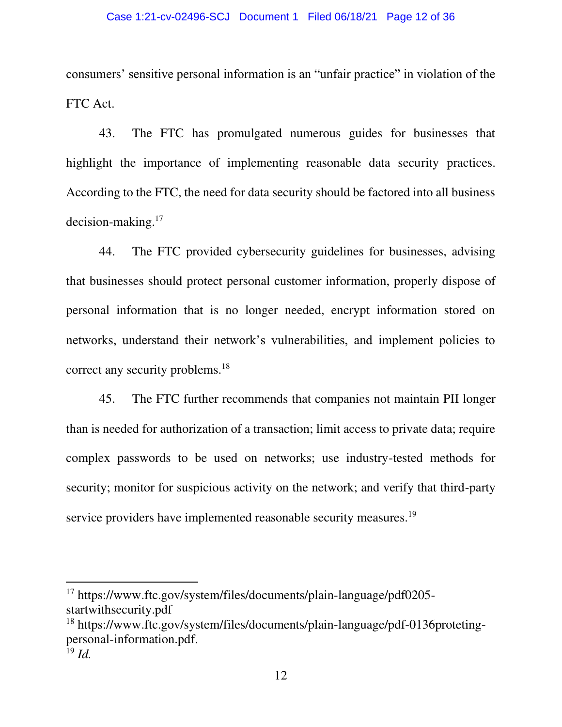consumers' sensitive personal information is an "unfair practice" in violation of the FTC Act.

43. The FTC has promulgated numerous guides for businesses that highlight the importance of implementing reasonable data security practices. According to the FTC, the need for data security should be factored into all business decision-making.<sup>17</sup>

44. The FTC provided cybersecurity guidelines for businesses, advising that businesses should protect personal customer information, properly dispose of personal information that is no longer needed, encrypt information stored on networks, understand their network's vulnerabilities, and implement policies to correct any security problems.<sup>18</sup>

45. The FTC further recommends that companies not maintain PII longer than is needed for authorization of a transaction; limit access to private data; require complex passwords to be used on networks; use industry-tested methods for security; monitor for suspicious activity on the network; and verify that third-party service providers have implemented reasonable security measures.<sup>19</sup>

<sup>17</sup> https://www.ftc.gov/system/files/documents/plain-language/pdf0205 startwithsecurity.pdf

<sup>18</sup> https://www.ftc.gov/system/files/documents/plain-language/pdf-0136protetingpersonal-information.pdf.

<sup>19</sup> *Id.*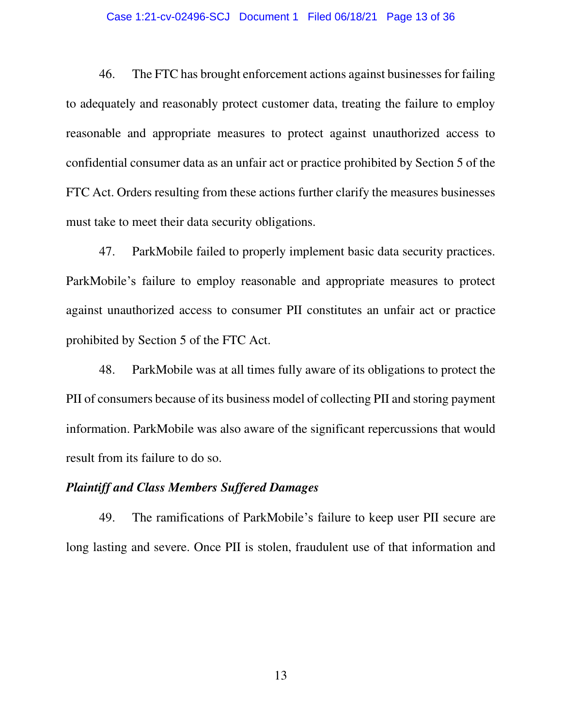#### Case 1:21-cv-02496-SCJ Document 1 Filed 06/18/21 Page 13 of 36

46. The FTC has brought enforcement actions against businesses for failing to adequately and reasonably protect customer data, treating the failure to employ reasonable and appropriate measures to protect against unauthorized access to confidential consumer data as an unfair act or practice prohibited by Section 5 of the FTC Act. Orders resulting from these actions further clarify the measures businesses must take to meet their data security obligations.

47. ParkMobile failed to properly implement basic data security practices. ParkMobile's failure to employ reasonable and appropriate measures to protect against unauthorized access to consumer PII constitutes an unfair act or practice prohibited by Section 5 of the FTC Act.

48. ParkMobile was at all times fully aware of its obligations to protect the PII of consumers because of its business model of collecting PII and storing payment information. ParkMobile was also aware of the significant repercussions that would result from its failure to do so.

## *Plaintiff and Class Members Suffered Damages*

49. The ramifications of ParkMobile's failure to keep user PII secure are long lasting and severe. Once PII is stolen, fraudulent use of that information and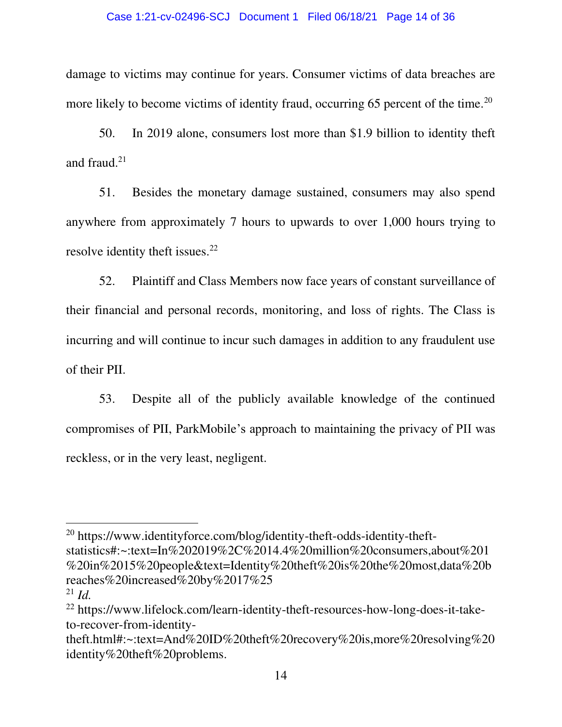#### Case 1:21-cv-02496-SCJ Document 1 Filed 06/18/21 Page 14 of 36

damage to victims may continue for years. Consumer victims of data breaches are more likely to become victims of identity fraud, occurring 65 percent of the time.<sup>20</sup>

50. In 2019 alone, consumers lost more than \$1.9 billion to identity theft and fraud. $21$ 

51. Besides the monetary damage sustained, consumers may also spend anywhere from approximately 7 hours to upwards to over 1,000 hours trying to resolve identity theft issues.<sup>22</sup>

52. Plaintiff and Class Members now face years of constant surveillance of their financial and personal records, monitoring, and loss of rights. The Class is incurring and will continue to incur such damages in addition to any fraudulent use of their PII.

53. Despite all of the publicly available knowledge of the continued compromises of PII, ParkMobile's approach to maintaining the privacy of PII was reckless, or in the very least, negligent.

<sup>20</sup> https://www.identityforce.com/blog/identity-theft-odds-identity-theftstatistics#:~:text=In%202019%2C%2014.4%20million%20consumers,about%201 %20in%2015%20people&text=Identity%20theft%20is%20the%20most,data%20b reaches%20increased%20by%2017%25 <sup>21</sup> *Id.*

<sup>22</sup> https://www.lifelock.com/learn-identity-theft-resources-how-long-does-it-taketo-recover-from-identity-

theft.html#:~:text=And%20ID%20theft%20recovery%20is,more%20resolving%20 identity%20theft%20problems.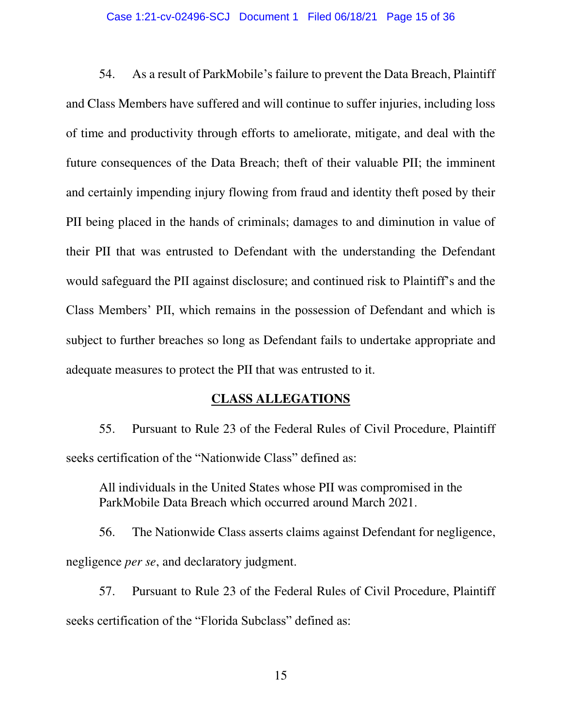#### Case 1:21-cv-02496-SCJ Document 1 Filed 06/18/21 Page 15 of 36

54. As a result of ParkMobile's failure to prevent the Data Breach, Plaintiff and Class Members have suffered and will continue to suffer injuries, including loss of time and productivity through efforts to ameliorate, mitigate, and deal with the future consequences of the Data Breach; theft of their valuable PII; the imminent and certainly impending injury flowing from fraud and identity theft posed by their PII being placed in the hands of criminals; damages to and diminution in value of their PII that was entrusted to Defendant with the understanding the Defendant would safeguard the PII against disclosure; and continued risk to Plaintiff's and the Class Members' PII, which remains in the possession of Defendant and which is subject to further breaches so long as Defendant fails to undertake appropriate and adequate measures to protect the PII that was entrusted to it.

# **CLASS ALLEGATIONS**

55. Pursuant to Rule 23 of the Federal Rules of Civil Procedure, Plaintiff seeks certification of the "Nationwide Class" defined as:

All individuals in the United States whose PII was compromised in the ParkMobile Data Breach which occurred around March 2021.

56. The Nationwide Class asserts claims against Defendant for negligence, negligence *per se*, and declaratory judgment.

57. Pursuant to Rule 23 of the Federal Rules of Civil Procedure, Plaintiff seeks certification of the "Florida Subclass" defined as: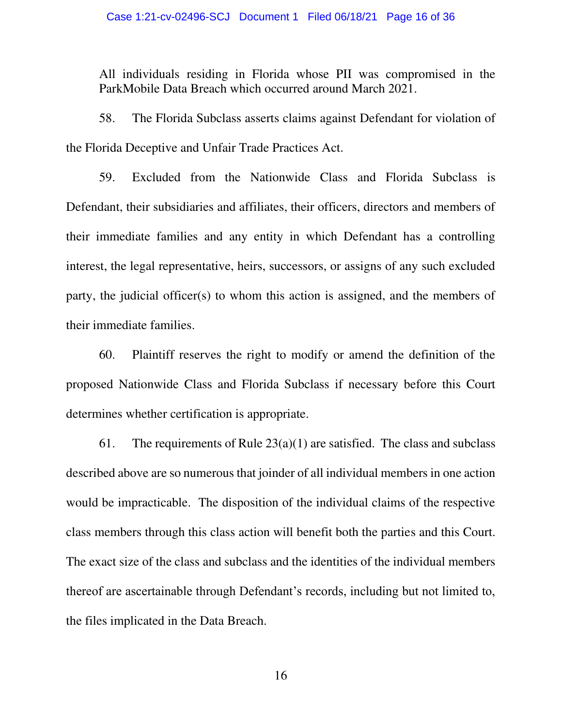All individuals residing in Florida whose PII was compromised in the ParkMobile Data Breach which occurred around March 2021.

58. The Florida Subclass asserts claims against Defendant for violation of the Florida Deceptive and Unfair Trade Practices Act.

59. Excluded from the Nationwide Class and Florida Subclass is Defendant, their subsidiaries and affiliates, their officers, directors and members of their immediate families and any entity in which Defendant has a controlling interest, the legal representative, heirs, successors, or assigns of any such excluded party, the judicial officer(s) to whom this action is assigned, and the members of their immediate families.

60. Plaintiff reserves the right to modify or amend the definition of the proposed Nationwide Class and Florida Subclass if necessary before this Court determines whether certification is appropriate.

61. The requirements of Rule  $23(a)(1)$  are satisfied. The class and subclass described above are so numerous that joinder of all individual members in one action would be impracticable. The disposition of the individual claims of the respective class members through this class action will benefit both the parties and this Court. The exact size of the class and subclass and the identities of the individual members thereof are ascertainable through Defendant's records, including but not limited to, the files implicated in the Data Breach.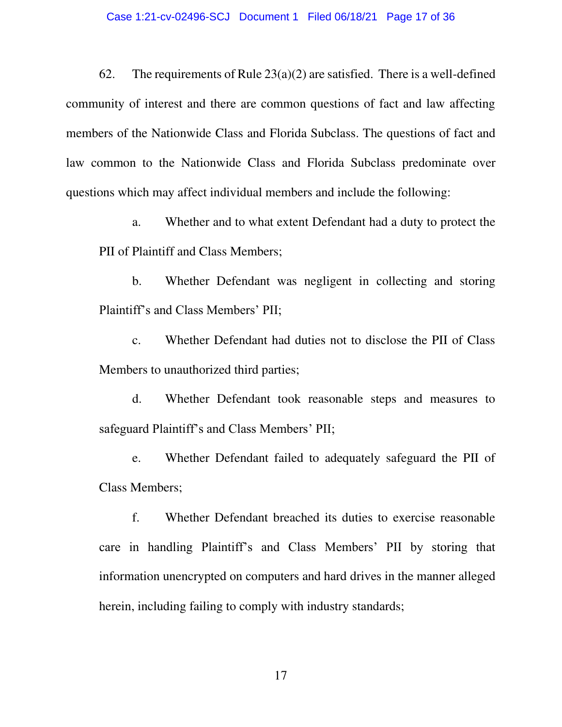62. The requirements of Rule  $23(a)(2)$  are satisfied. There is a well-defined community of interest and there are common questions of fact and law affecting members of the Nationwide Class and Florida Subclass. The questions of fact and law common to the Nationwide Class and Florida Subclass predominate over questions which may affect individual members and include the following:

a. Whether and to what extent Defendant had a duty to protect the PII of Plaintiff and Class Members;

b. Whether Defendant was negligent in collecting and storing Plaintiff's and Class Members' PII;

c. Whether Defendant had duties not to disclose the PII of Class Members to unauthorized third parties;

d. Whether Defendant took reasonable steps and measures to safeguard Plaintiff's and Class Members' PII;

e. Whether Defendant failed to adequately safeguard the PII of Class Members;

f. Whether Defendant breached its duties to exercise reasonable care in handling Plaintiff's and Class Members' PII by storing that information unencrypted on computers and hard drives in the manner alleged herein, including failing to comply with industry standards;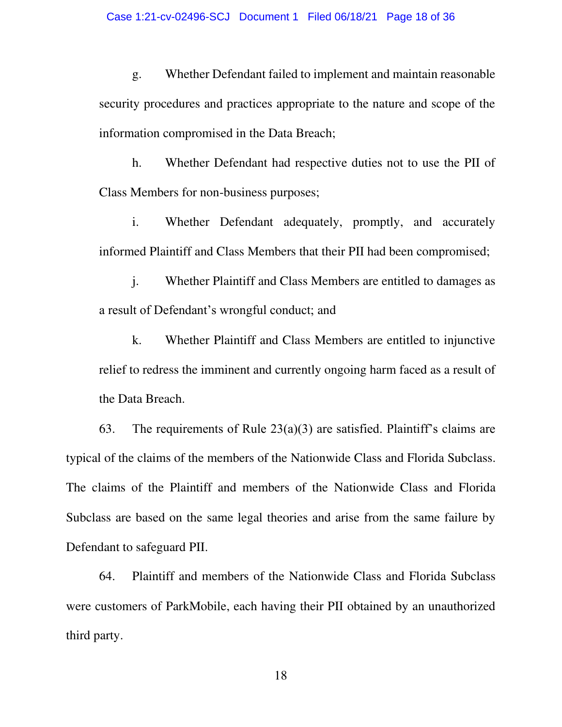g. Whether Defendant failed to implement and maintain reasonable security procedures and practices appropriate to the nature and scope of the information compromised in the Data Breach;

h. Whether Defendant had respective duties not to use the PII of Class Members for non-business purposes;

i. Whether Defendant adequately, promptly, and accurately informed Plaintiff and Class Members that their PII had been compromised;

j. Whether Plaintiff and Class Members are entitled to damages as a result of Defendant's wrongful conduct; and

k. Whether Plaintiff and Class Members are entitled to injunctive relief to redress the imminent and currently ongoing harm faced as a result of the Data Breach.

63. The requirements of Rule  $23(a)(3)$  are satisfied. Plaintiff's claims are typical of the claims of the members of the Nationwide Class and Florida Subclass. The claims of the Plaintiff and members of the Nationwide Class and Florida Subclass are based on the same legal theories and arise from the same failure by Defendant to safeguard PII.

64. Plaintiff and members of the Nationwide Class and Florida Subclass were customers of ParkMobile, each having their PII obtained by an unauthorized third party.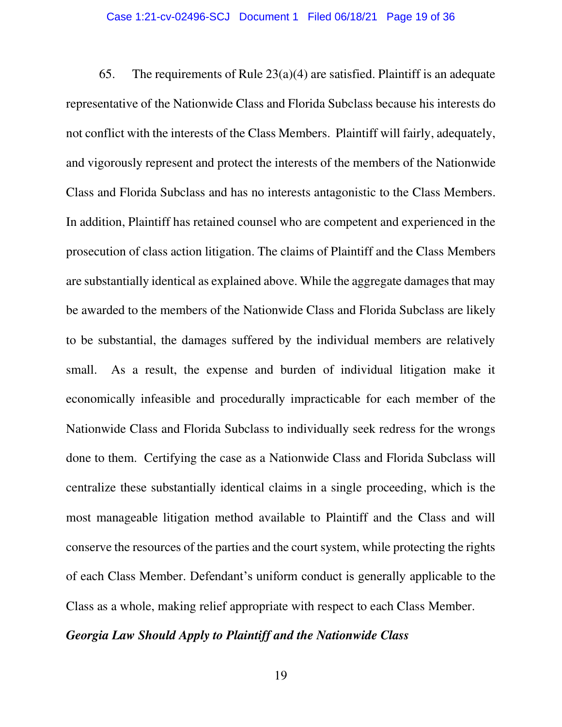65. The requirements of Rule  $23(a)(4)$  are satisfied. Plaintiff is an adequate representative of the Nationwide Class and Florida Subclass because his interests do not conflict with the interests of the Class Members. Plaintiff will fairly, adequately, and vigorously represent and protect the interests of the members of the Nationwide Class and Florida Subclass and has no interests antagonistic to the Class Members. In addition, Plaintiff has retained counsel who are competent and experienced in the prosecution of class action litigation. The claims of Plaintiff and the Class Members are substantially identical as explained above. While the aggregate damages that may be awarded to the members of the Nationwide Class and Florida Subclass are likely to be substantial, the damages suffered by the individual members are relatively small. As a result, the expense and burden of individual litigation make it economically infeasible and procedurally impracticable for each member of the Nationwide Class and Florida Subclass to individually seek redress for the wrongs done to them. Certifying the case as a Nationwide Class and Florida Subclass will centralize these substantially identical claims in a single proceeding, which is the most manageable litigation method available to Plaintiff and the Class and will conserve the resources of the parties and the court system, while protecting the rights of each Class Member. Defendant's uniform conduct is generally applicable to the Class as a whole, making relief appropriate with respect to each Class Member.

## *Georgia Law Should Apply to Plaintiff and the Nationwide Class*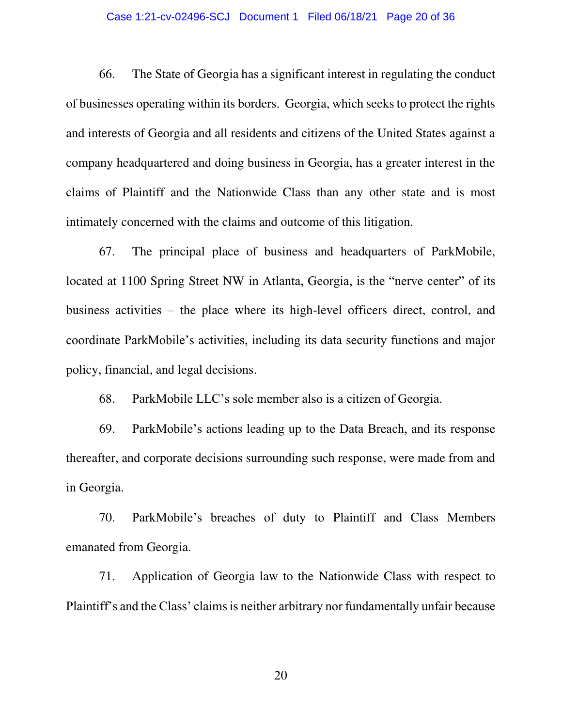## Case 1:21-cv-02496-SCJ Document 1 Filed 06/18/21 Page 20 of 36

66. The State of Georgia has a significant interest in regulating the conduct of businesses operating within its borders. Georgia, which seeks to protect the rights and interests of Georgia and all residents and citizens of the United States against a company headquartered and doing business in Georgia, has a greater interest in the claims of Plaintiff and the Nationwide Class than any other state and is most intimately concerned with the claims and outcome of this litigation.

67. The principal place of business and headquarters of ParkMobile, located at 1100 Spring Street NW in Atlanta, Georgia, is the "nerve center" of its business activities – the place where its high-level officers direct, control, and coordinate ParkMobile's activities, including its data security functions and major policy, financial, and legal decisions.

68. ParkMobile LLC's sole member also is a citizen of Georgia.

69. ParkMobile's actions leading up to the Data Breach, and its response thereafter, and corporate decisions surrounding such response, were made from and in Georgia.

70. ParkMobile's breaches of duty to Plaintiff and Class Members emanated from Georgia.

71. Application of Georgia law to the Nationwide Class with respect to Plaintiff's and the Class' claims is neither arbitrary nor fundamentally unfair because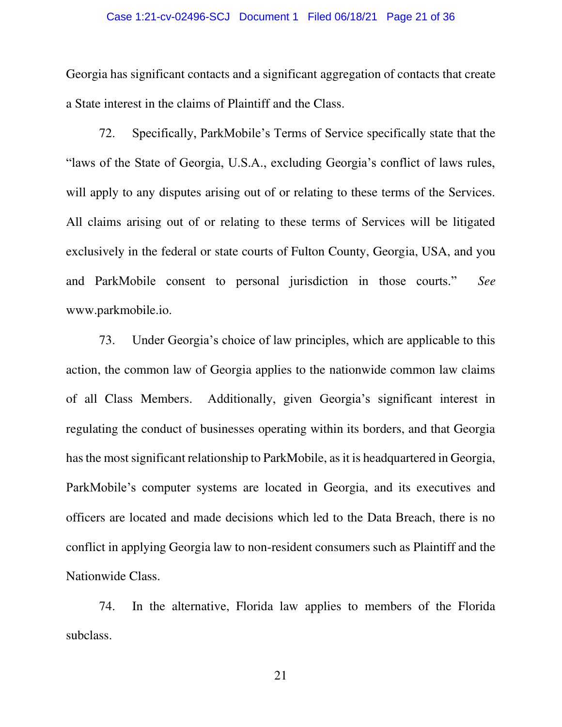### Case 1:21-cv-02496-SCJ Document 1 Filed 06/18/21 Page 21 of 36

Georgia has significant contacts and a significant aggregation of contacts that create a State interest in the claims of Plaintiff and the Class.

72. Specifically, ParkMobile's Terms of Service specifically state that the "laws of the State of Georgia, U.S.A., excluding Georgia's conflict of laws rules, will apply to any disputes arising out of or relating to these terms of the Services. All claims arising out of or relating to these terms of Services will be litigated exclusively in the federal or state courts of Fulton County, Georgia, USA, and you and ParkMobile consent to personal jurisdiction in those courts." *See* www.parkmobile.io.

73. Under Georgia's choice of law principles, which are applicable to this action, the common law of Georgia applies to the nationwide common law claims of all Class Members. Additionally, given Georgia's significant interest in regulating the conduct of businesses operating within its borders, and that Georgia has the most significant relationship to ParkMobile, as it is headquartered in Georgia, ParkMobile's computer systems are located in Georgia, and its executives and officers are located and made decisions which led to the Data Breach, there is no conflict in applying Georgia law to non-resident consumers such as Plaintiff and the Nationwide Class.

74. In the alternative, Florida law applies to members of the Florida subclass.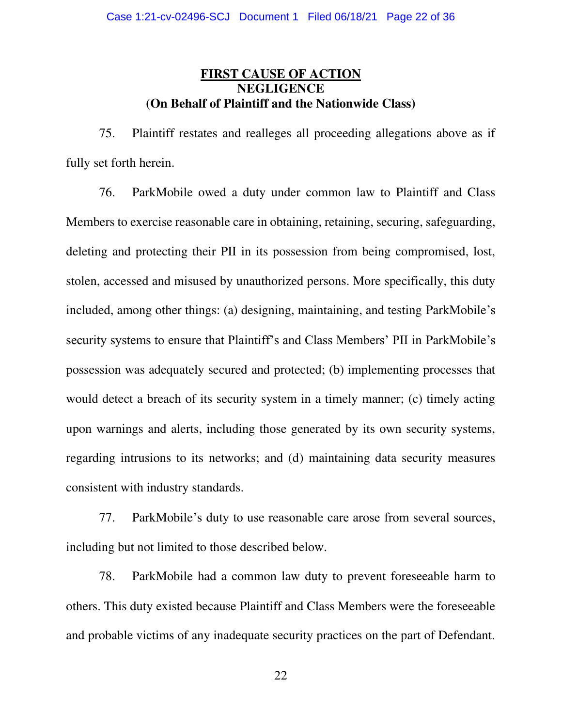# **FIRST CAUSE OF ACTION NEGLIGENCE (On Behalf of Plaintiff and the Nationwide Class)**

75. Plaintiff restates and realleges all proceeding allegations above as if fully set forth herein.

76. ParkMobile owed a duty under common law to Plaintiff and Class Members to exercise reasonable care in obtaining, retaining, securing, safeguarding, deleting and protecting their PII in its possession from being compromised, lost, stolen, accessed and misused by unauthorized persons. More specifically, this duty included, among other things: (a) designing, maintaining, and testing ParkMobile's security systems to ensure that Plaintiff's and Class Members' PII in ParkMobile's possession was adequately secured and protected; (b) implementing processes that would detect a breach of its security system in a timely manner; (c) timely acting upon warnings and alerts, including those generated by its own security systems, regarding intrusions to its networks; and (d) maintaining data security measures consistent with industry standards.

77. ParkMobile's duty to use reasonable care arose from several sources, including but not limited to those described below.

78. ParkMobile had a common law duty to prevent foreseeable harm to others. This duty existed because Plaintiff and Class Members were the foreseeable and probable victims of any inadequate security practices on the part of Defendant.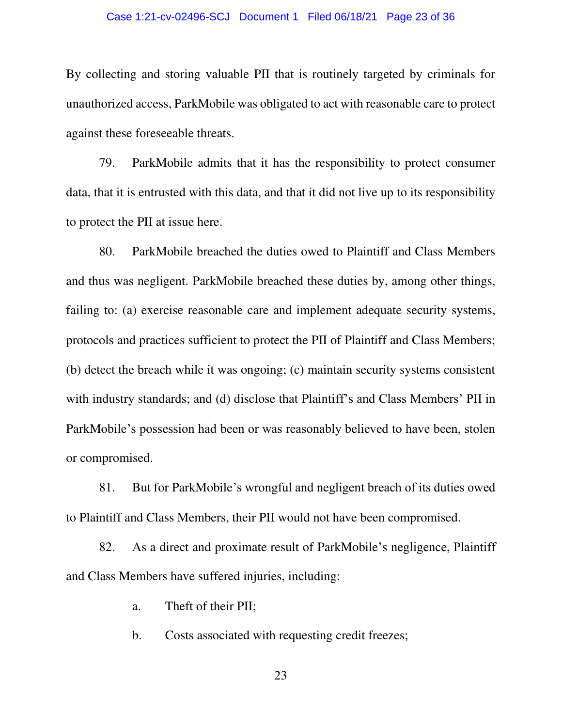#### Case 1:21-cv-02496-SCJ Document 1 Filed 06/18/21 Page 23 of 36

By collecting and storing valuable PII that is routinely targeted by criminals for unauthorized access, ParkMobile was obligated to act with reasonable care to protect against these foreseeable threats.

79. ParkMobile admits that it has the responsibility to protect consumer data, that it is entrusted with this data, and that it did not live up to its responsibility to protect the PII at issue here.

80. ParkMobile breached the duties owed to Plaintiff and Class Members and thus was negligent. ParkMobile breached these duties by, among other things, failing to: (a) exercise reasonable care and implement adequate security systems, protocols and practices sufficient to protect the PII of Plaintiff and Class Members; (b) detect the breach while it was ongoing; (c) maintain security systems consistent with industry standards; and (d) disclose that Plaintiff's and Class Members' PII in ParkMobile's possession had been or was reasonably believed to have been, stolen or compromised.

81. But for ParkMobile's wrongful and negligent breach of its duties owed to Plaintiff and Class Members, their PII would not have been compromised.

82. As a direct and proximate result of ParkMobile's negligence, Plaintiff and Class Members have suffered injuries, including:

a. Theft of their PII;

b. Costs associated with requesting credit freezes;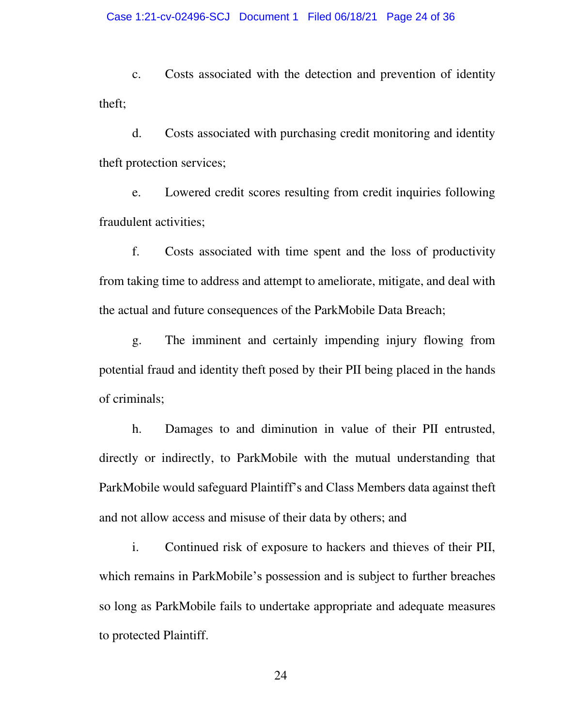c. Costs associated with the detection and prevention of identity theft;

d. Costs associated with purchasing credit monitoring and identity theft protection services;

e. Lowered credit scores resulting from credit inquiries following fraudulent activities;

f. Costs associated with time spent and the loss of productivity from taking time to address and attempt to ameliorate, mitigate, and deal with the actual and future consequences of the ParkMobile Data Breach;

g. The imminent and certainly impending injury flowing from potential fraud and identity theft posed by their PII being placed in the hands of criminals;

h. Damages to and diminution in value of their PII entrusted, directly or indirectly, to ParkMobile with the mutual understanding that ParkMobile would safeguard Plaintiff's and Class Members data against theft and not allow access and misuse of their data by others; and

i. Continued risk of exposure to hackers and thieves of their PII, which remains in ParkMobile's possession and is subject to further breaches so long as ParkMobile fails to undertake appropriate and adequate measures to protected Plaintiff.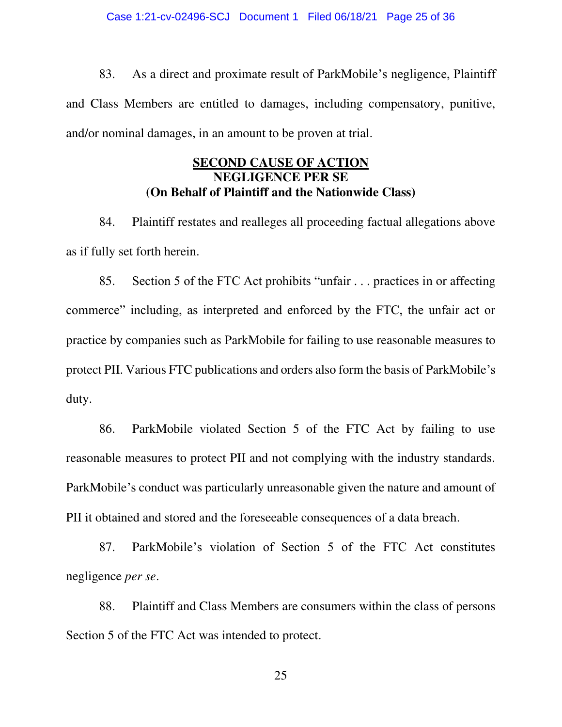83. As a direct and proximate result of ParkMobile's negligence, Plaintiff and Class Members are entitled to damages, including compensatory, punitive, and/or nominal damages, in an amount to be proven at trial.

# **SECOND CAUSE OF ACTION NEGLIGENCE PER SE (On Behalf of Plaintiff and the Nationwide Class)**

84. Plaintiff restates and realleges all proceeding factual allegations above as if fully set forth herein.

85. Section 5 of the FTC Act prohibits "unfair . . . practices in or affecting commerce" including, as interpreted and enforced by the FTC, the unfair act or practice by companies such as ParkMobile for failing to use reasonable measures to protect PII. Various FTC publications and orders also form the basis of ParkMobile's duty.

86. ParkMobile violated Section 5 of the FTC Act by failing to use reasonable measures to protect PII and not complying with the industry standards. ParkMobile's conduct was particularly unreasonable given the nature and amount of PII it obtained and stored and the foreseeable consequences of a data breach.

87. ParkMobile's violation of Section 5 of the FTC Act constitutes negligence *per se*.

88. Plaintiff and Class Members are consumers within the class of persons Section 5 of the FTC Act was intended to protect.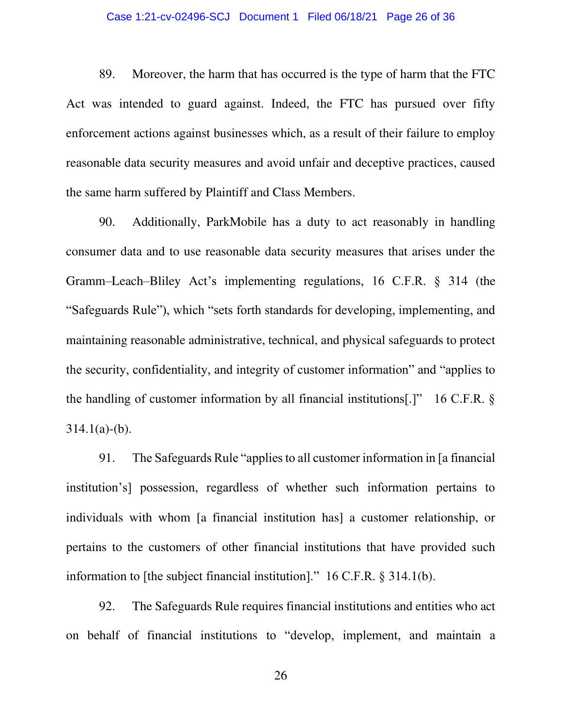## Case 1:21-cv-02496-SCJ Document 1 Filed 06/18/21 Page 26 of 36

89. Moreover, the harm that has occurred is the type of harm that the FTC Act was intended to guard against. Indeed, the FTC has pursued over fifty enforcement actions against businesses which, as a result of their failure to employ reasonable data security measures and avoid unfair and deceptive practices, caused the same harm suffered by Plaintiff and Class Members.

90. Additionally, ParkMobile has a duty to act reasonably in handling consumer data and to use reasonable data security measures that arises under the Gramm–Leach–Bliley Act's implementing regulations, 16 C.F.R. § 314 (the "Safeguards Rule"), which "sets forth standards for developing, implementing, and maintaining reasonable administrative, technical, and physical safeguards to protect the security, confidentiality, and integrity of customer information" and "applies to the handling of customer information by all financial institutions[.]" 16 C.F.R. §  $314.1(a)-(b)$ .

91. The Safeguards Rule "applies to all customer information in [a financial institution's] possession, regardless of whether such information pertains to individuals with whom [a financial institution has] a customer relationship, or pertains to the customers of other financial institutions that have provided such information to [the subject financial institution]." 16 C.F.R. § 314.1(b).

92. The Safeguards Rule requires financial institutions and entities who act on behalf of financial institutions to "develop, implement, and maintain a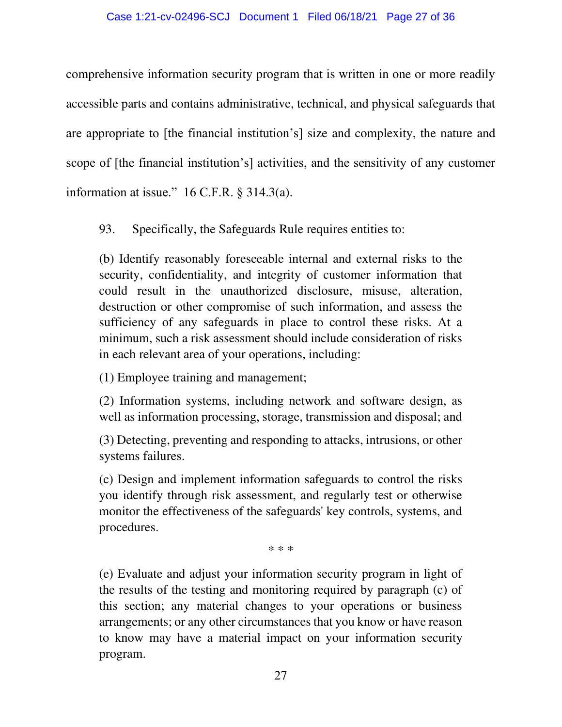## Case 1:21-cv-02496-SCJ Document 1 Filed 06/18/21 Page 27 of 36

comprehensive information security program that is written in one or more readily accessible parts and contains administrative, technical, and physical safeguards that are appropriate to [the financial institution's] size and complexity, the nature and scope of [the financial institution's] activities, and the sensitivity of any customer information at issue."  $16$  C.F.R. § 314.3(a).

93. Specifically, the Safeguards Rule requires entities to:

(b) Identify reasonably foreseeable internal and external risks to the security, confidentiality, and integrity of customer information that could result in the unauthorized disclosure, misuse, alteration, destruction or other compromise of such information, and assess the sufficiency of any safeguards in place to control these risks. At a minimum, such a risk assessment should include consideration of risks in each relevant area of your operations, including:

(1) Employee training and management;

(2) Information systems, including network and software design, as well as information processing, storage, transmission and disposal; and

(3) Detecting, preventing and responding to attacks, intrusions, or other systems failures.

(c) Design and implement information safeguards to control the risks you identify through risk assessment, and regularly test or otherwise monitor the effectiveness of the safeguards' key controls, systems, and procedures.

\* \* \*

(e) Evaluate and adjust your information security program in light of the results of the testing and monitoring required by paragraph (c) of this section; any material changes to your operations or business arrangements; or any other circumstances that you know or have reason to know may have a material impact on your information security program.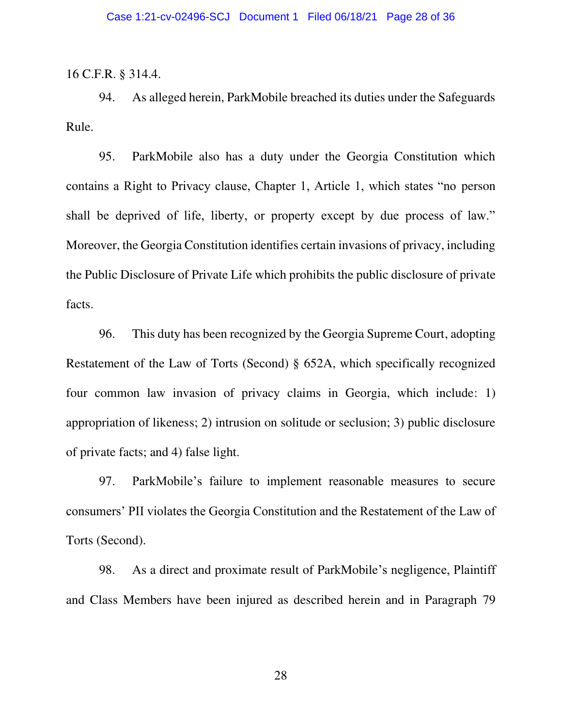16 C.F.R. § 314.4.

94. As alleged herein, ParkMobile breached its duties under the Safeguards Rule.

95. ParkMobile also has a duty under the Georgia Constitution which contains a Right to Privacy clause, Chapter 1, Article 1, which states "no person shall be deprived of life, liberty, or property except by due process of law." Moreover, the Georgia Constitution identifies certain invasions of privacy, including the Public Disclosure of Private Life which prohibits the public disclosure of private facts.

96. This duty has been recognized by the Georgia Supreme Court, adopting Restatement of the Law of Torts (Second) § 652A, which specifically recognized four common law invasion of privacy claims in Georgia, which include: 1) appropriation of likeness; 2) intrusion on solitude or seclusion; 3) public disclosure of private facts; and 4) false light.

97. ParkMobile's failure to implement reasonable measures to secure consumers' PII violates the Georgia Constitution and the Restatement of the Law of Torts (Second).

98. As a direct and proximate result of ParkMobile's negligence, Plaintiff and Class Members have been injured as described herein and in Paragraph 79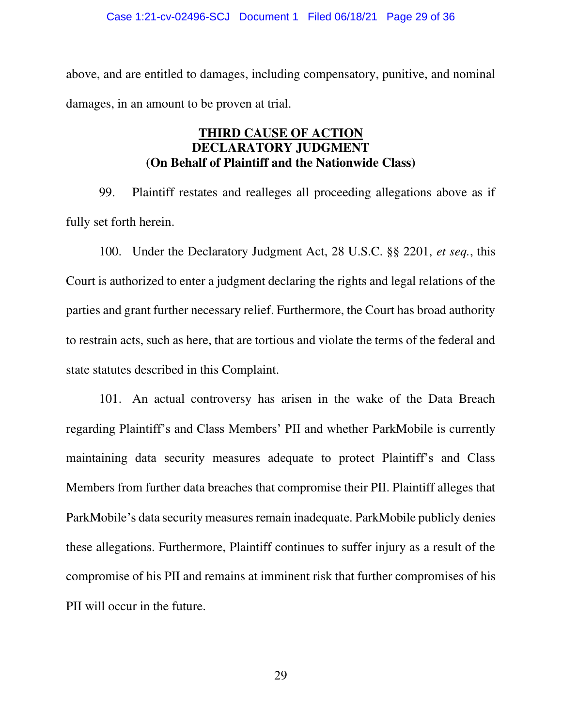#### Case 1:21-cv-02496-SCJ Document 1 Filed 06/18/21 Page 29 of 36

above, and are entitled to damages, including compensatory, punitive, and nominal damages, in an amount to be proven at trial.

# **THIRD CAUSE OF ACTION DECLARATORY JUDGMENT (On Behalf of Plaintiff and the Nationwide Class)**

99. Plaintiff restates and realleges all proceeding allegations above as if fully set forth herein.

100. Under the Declaratory Judgment Act, 28 U.S.C. §§ 2201, *et seq.*, this Court is authorized to enter a judgment declaring the rights and legal relations of the parties and grant further necessary relief. Furthermore, the Court has broad authority to restrain acts, such as here, that are tortious and violate the terms of the federal and state statutes described in this Complaint.

101. An actual controversy has arisen in the wake of the Data Breach regarding Plaintiff's and Class Members' PII and whether ParkMobile is currently maintaining data security measures adequate to protect Plaintiff's and Class Members from further data breaches that compromise their PII. Plaintiff alleges that ParkMobile's data security measures remain inadequate. ParkMobile publicly denies these allegations. Furthermore, Plaintiff continues to suffer injury as a result of the compromise of his PII and remains at imminent risk that further compromises of his PII will occur in the future.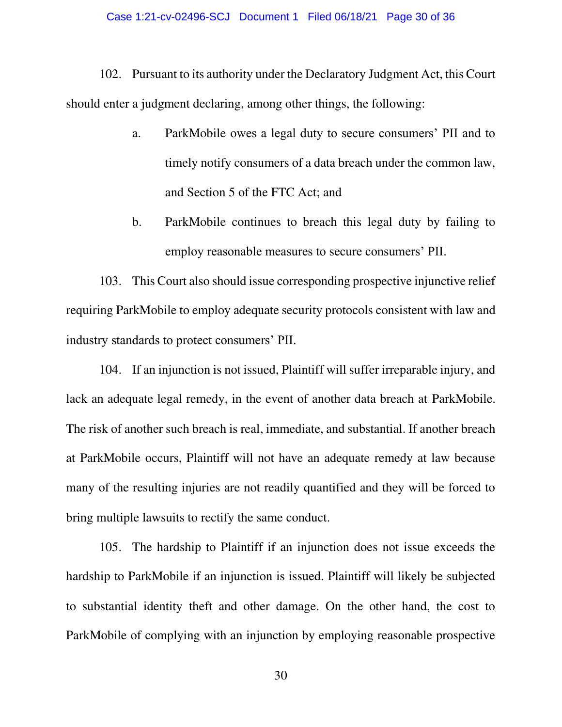## Case 1:21-cv-02496-SCJ Document 1 Filed 06/18/21 Page 30 of 36

102. Pursuant to its authority under the Declaratory Judgment Act, this Court should enter a judgment declaring, among other things, the following:

- a. ParkMobile owes a legal duty to secure consumers' PII and to timely notify consumers of a data breach under the common law, and Section 5 of the FTC Act; and
- b. ParkMobile continues to breach this legal duty by failing to employ reasonable measures to secure consumers' PII.

103. This Court also should issue corresponding prospective injunctive relief requiring ParkMobile to employ adequate security protocols consistent with law and industry standards to protect consumers' PII.

104. If an injunction is not issued, Plaintiff will suffer irreparable injury, and lack an adequate legal remedy, in the event of another data breach at ParkMobile. The risk of another such breach is real, immediate, and substantial. If another breach at ParkMobile occurs, Plaintiff will not have an adequate remedy at law because many of the resulting injuries are not readily quantified and they will be forced to bring multiple lawsuits to rectify the same conduct.

105. The hardship to Plaintiff if an injunction does not issue exceeds the hardship to ParkMobile if an injunction is issued. Plaintiff will likely be subjected to substantial identity theft and other damage. On the other hand, the cost to ParkMobile of complying with an injunction by employing reasonable prospective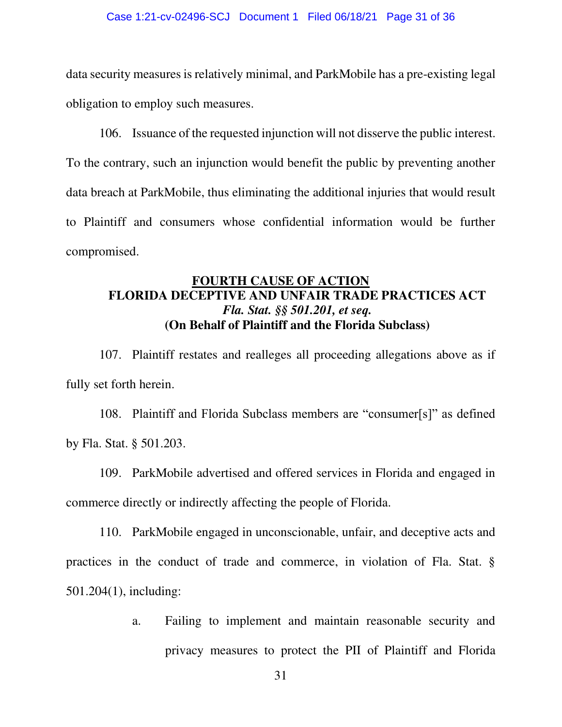data security measures is relatively minimal, and ParkMobile has a pre-existing legal obligation to employ such measures.

106. Issuance of the requested injunction will not disserve the public interest. To the contrary, such an injunction would benefit the public by preventing another data breach at ParkMobile, thus eliminating the additional injuries that would result to Plaintiff and consumers whose confidential information would be further compromised.

# **FOURTH CAUSE OF ACTION FLORIDA DECEPTIVE AND UNFAIR TRADE PRACTICES ACT**  *Fla. Stat. §§ 501.201, et seq.*  **(On Behalf of Plaintiff and the Florida Subclass)**

107. Plaintiff restates and realleges all proceeding allegations above as if fully set forth herein.

108. Plaintiff and Florida Subclass members are "consumer[s]" as defined by Fla. Stat. § 501.203.

109. ParkMobile advertised and offered services in Florida and engaged in commerce directly or indirectly affecting the people of Florida.

110. ParkMobile engaged in unconscionable, unfair, and deceptive acts and practices in the conduct of trade and commerce, in violation of Fla. Stat. § 501.204(1), including:

> a. Failing to implement and maintain reasonable security and privacy measures to protect the PII of Plaintiff and Florida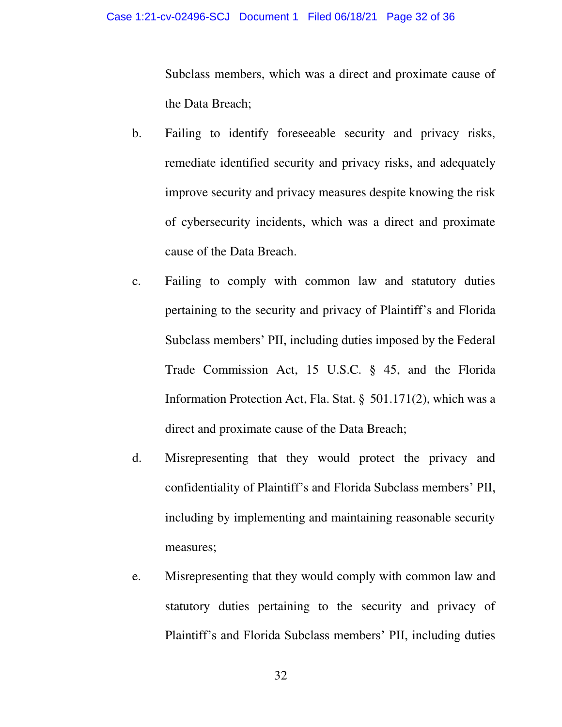Subclass members, which was a direct and proximate cause of the Data Breach;

- b. Failing to identify foreseeable security and privacy risks, remediate identified security and privacy risks, and adequately improve security and privacy measures despite knowing the risk of cybersecurity incidents, which was a direct and proximate cause of the Data Breach.
- c. Failing to comply with common law and statutory duties pertaining to the security and privacy of Plaintiff's and Florida Subclass members' PII, including duties imposed by the Federal Trade Commission Act, 15 U.S.C. § 45, and the Florida Information Protection Act, Fla. Stat. §  501.171(2), which was a direct and proximate cause of the Data Breach;
- d. Misrepresenting that they would protect the privacy and confidentiality of Plaintiff's and Florida Subclass members' PII, including by implementing and maintaining reasonable security measures;
- e. Misrepresenting that they would comply with common law and statutory duties pertaining to the security and privacy of Plaintiff's and Florida Subclass members' PII, including duties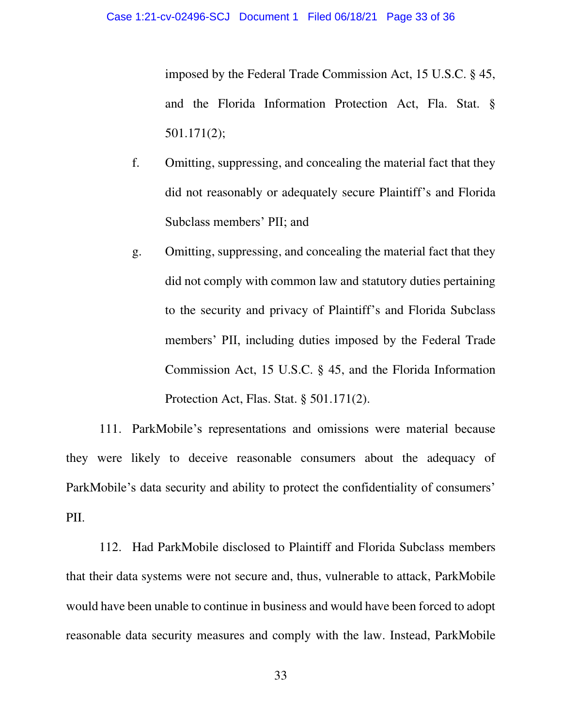imposed by the Federal Trade Commission Act, 15 U.S.C. § 45, and the Florida Information Protection Act, Fla. Stat. § 501.171(2);

- f. Omitting, suppressing, and concealing the material fact that they did not reasonably or adequately secure Plaintiff's and Florida Subclass members' PII; and
- g. Omitting, suppressing, and concealing the material fact that they did not comply with common law and statutory duties pertaining to the security and privacy of Plaintiff's and Florida Subclass members' PII, including duties imposed by the Federal Trade Commission Act, 15 U.S.C. § 45, and the Florida Information Protection Act, Flas. Stat. § 501.171(2).

111. ParkMobile's representations and omissions were material because they were likely to deceive reasonable consumers about the adequacy of ParkMobile's data security and ability to protect the confidentiality of consumers' PII.

112. Had ParkMobile disclosed to Plaintiff and Florida Subclass members that their data systems were not secure and, thus, vulnerable to attack, ParkMobile would have been unable to continue in business and would have been forced to adopt reasonable data security measures and comply with the law. Instead, ParkMobile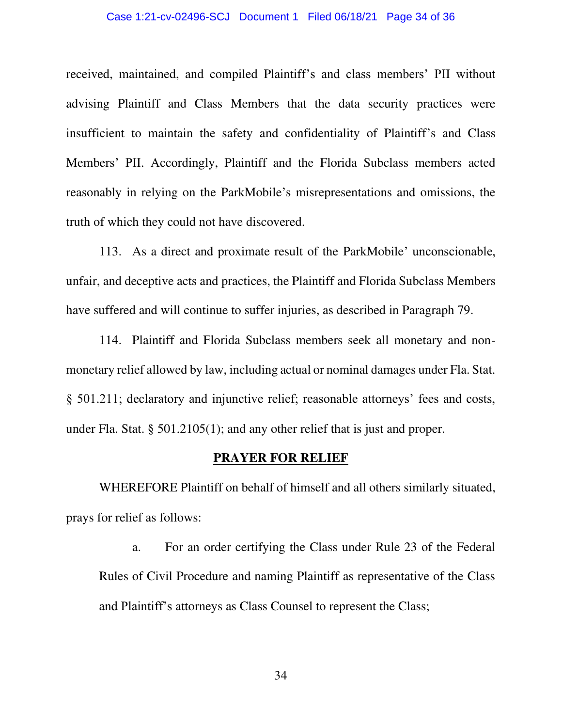#### Case 1:21-cv-02496-SCJ Document 1 Filed 06/18/21 Page 34 of 36

received, maintained, and compiled Plaintiff's and class members' PII without advising Plaintiff and Class Members that the data security practices were insufficient to maintain the safety and confidentiality of Plaintiff's and Class Members' PII. Accordingly, Plaintiff and the Florida Subclass members acted reasonably in relying on the ParkMobile's misrepresentations and omissions, the truth of which they could not have discovered.

113. As a direct and proximate result of the ParkMobile' unconscionable, unfair, and deceptive acts and practices, the Plaintiff and Florida Subclass Members have suffered and will continue to suffer injuries, as described in Paragraph 79.

114. Plaintiff and Florida Subclass members seek all monetary and nonmonetary relief allowed by law, including actual or nominal damages under Fla. Stat. § 501.211; declaratory and injunctive relief; reasonable attorneys' fees and costs, under Fla. Stat. § 501.2105(1); and any other relief that is just and proper.

## **PRAYER FOR RELIEF**

 WHEREFORE Plaintiff on behalf of himself and all others similarly situated, prays for relief as follows:

a. For an order certifying the Class under Rule 23 of the Federal Rules of Civil Procedure and naming Plaintiff as representative of the Class and Plaintiff's attorneys as Class Counsel to represent the Class;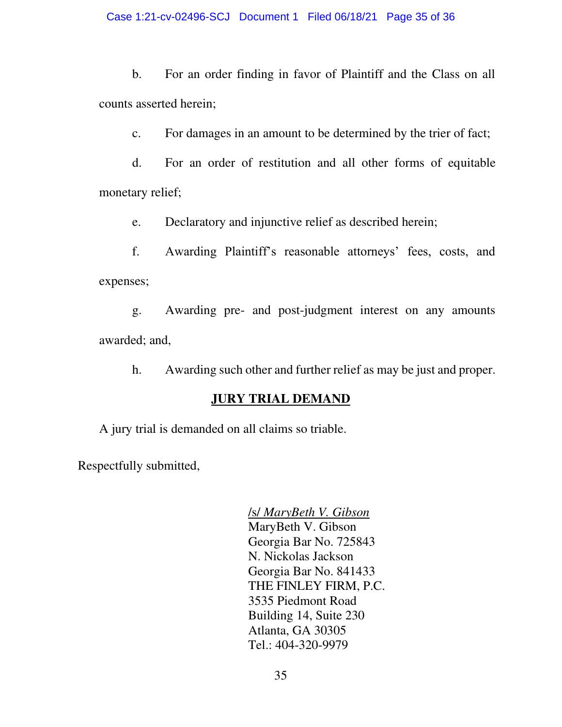b. For an order finding in favor of Plaintiff and the Class on all counts asserted herein;

c. For damages in an amount to be determined by the trier of fact;

d. For an order of restitution and all other forms of equitable monetary relief;

e. Declaratory and injunctive relief as described herein;

f. Awarding Plaintiff's reasonable attorneys' fees, costs, and expenses;

g. Awarding pre- and post-judgment interest on any amounts awarded; and,

h. Awarding such other and further relief as may be just and proper.

# **JURY TRIAL DEMAND**

A jury trial is demanded on all claims so triable.

Respectfully submitted,

/s/ *MaryBeth V. Gibson*  MaryBeth V. Gibson Georgia Bar No. 725843 N. Nickolas Jackson Georgia Bar No. 841433 THE FINLEY FIRM, P.C. 3535 Piedmont Road Building 14, Suite 230 Atlanta, GA 30305 Tel.: 404-320-9979